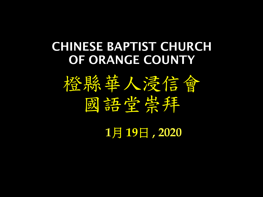#### CHINESE BAPTIST CHURCH OF ORANGE COUNTY



**1**月 **19**日 **, 2020**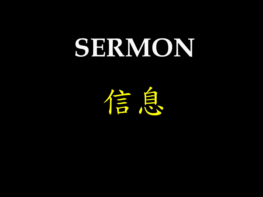# **SERMON**

信息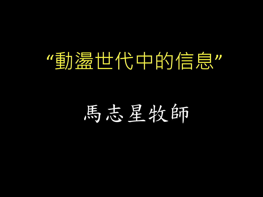# "動盪世代中的信息"

# 馬志星牧師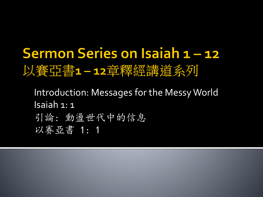### Sermon Series on Isaiah 1-12 以賽亞書1-12章釋經講道系列

- Introduction: Messages for the Messy World Isaiah 1: 1
- 引論: 動盪世代中的信息
- 以賽亞書 1: 1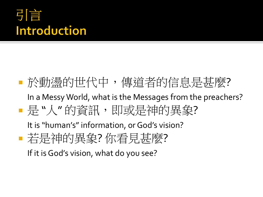#### 引言 **Introduction**

#### ■於動盪的世代中,傳道者的信息是甚麼?

In a Messy World, what is the Messages from the preachers?

■ 是 "人" 的資訊, 即或是神的異象?

It is "human's" information, or God's vision?

■若是神的異象? 你看見甚麼?

If it is God's vision, what do you see?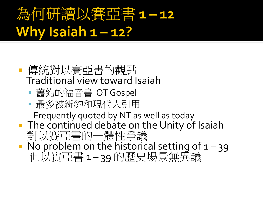# 為何研讀以賽亞書1-12 Why Isaiah 1-12?

- 傳統對以賽亞書的觀點 Traditional view toward Isaiah
	- 舊約的福音書 OT Gospel
	- 最多被新約和現代人引用

Frequently quoted by NT as well as today

- **The continued debate on the Unity of Isaiah** 對以賽亞書的一體性爭議
- No problem on the historical setting of  $1 39$ 但以實亞書 1 – 39 的歷史場景無異議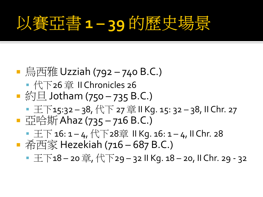# 以賽亞書 1-39 的歷史:

■ 烏西雅 Uzziah (792 – 740 B.C.) ■ 代下26 章 II Chronicles 26 ■ 約旦 Jotham (750 – 735 B.C.) ■ 王下15:32-38, 代下 27 章ⅡKg. 15: 32-38, II Chr. 27 ■ 亞哈斯 Ahaz (735 – 716 B.C.) ■ 王下 16: 1-4, 代下28章 II Kg. 16: 1-4, II Chr. 28 ■ 希西家 Hezekiah (716 – 687 B.C.) ■ 王下18-20 章, 代下29-32 II Kg. 18-20, II Chr. 29 - 32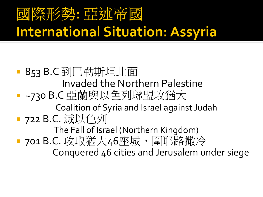### 國際形勢: 亞述帝國 **International Situation: Assyria**

■ 853 B.C 到巴勒斯坦北面 Invaded the Northern Palestine ■ ~730 B.C 亞蘭與以色列聯盟攻猶大 Coalition of Syria and Israel against Judah ■ 722 B.C. 滅以色列 The Fall of Israel (Northern Kingdom) ■ 701 B.C. 攻取猶大46座城,圍耶路撒冷 Conquered 46 cities and Jerusalem under siege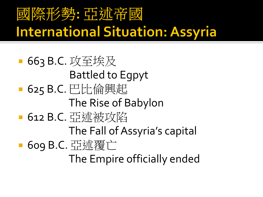### 國際形勢: 亞述帝國 **International Situation: Assyria**

■ 663 B.C. 攻至埃及 Battled to Egpyt ■ 625 B.C. 巴比倫興起 The Rise of Babylon ■ 612 B.C. 亞述被攻陷 The Fall of Assyria's capital ■ 609 B.C. 亞述覆亡 The Empire officially ended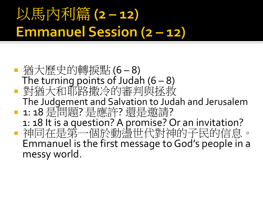# 以馬內利篇(2-12) **Emmanuel Session (2-12)**

 猶大歷史的轉捩點 (6 – 8) The turning points of Judah  $(6 - 8)$  對猶大和耶路撒冷的審判與拯救 The Judgement and Salvation to Judah and Jerusalem ■ 1: 18 是問題? 是應許? 還是邀請? 1: 18 It is a question? A promise? Or an invitation? 神同在是第一個於動盪世代對神的子民的信息。 Emmanuel is the first message to God's people in a messy world.